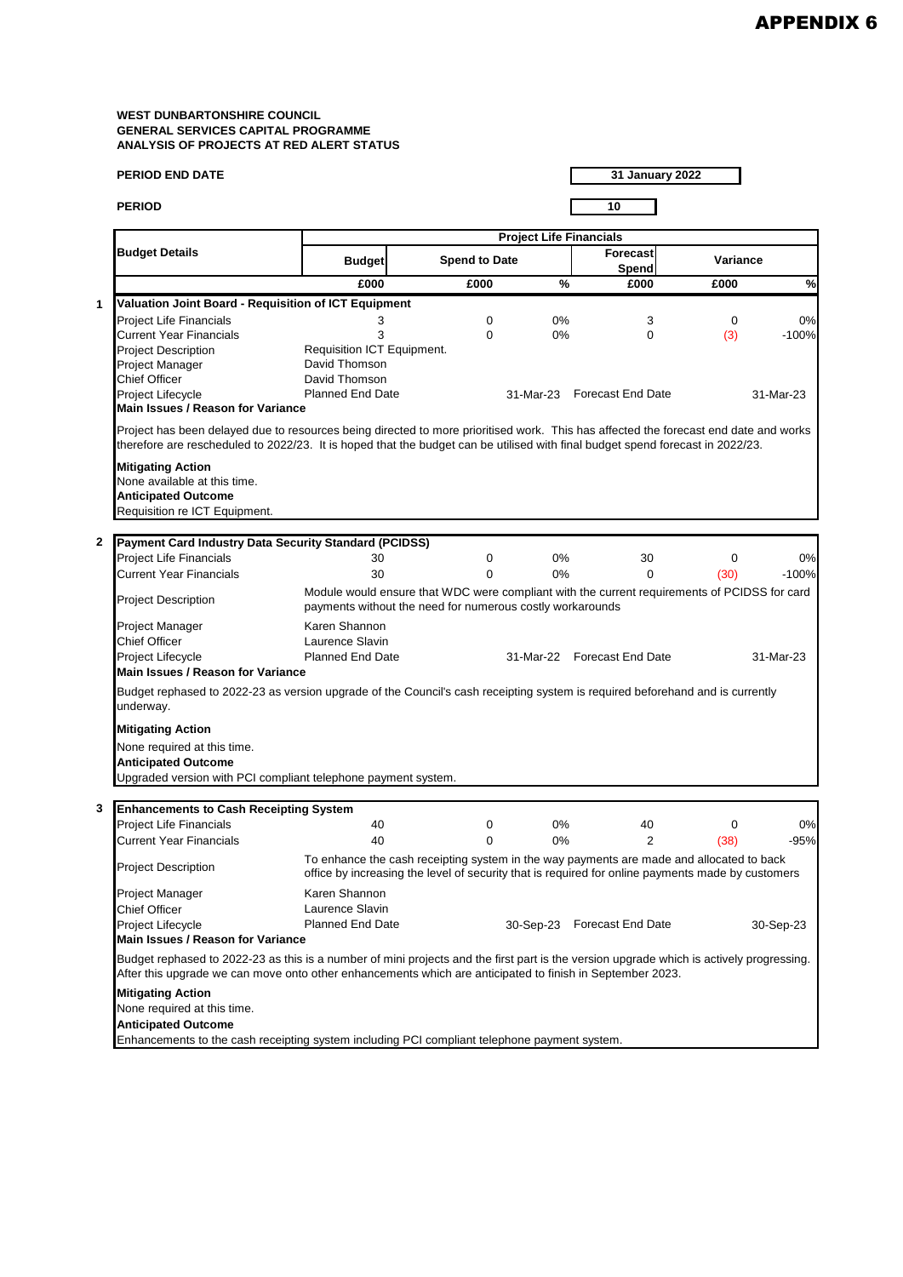| <b>PERIOD END DATE</b>                                                                                                                                                                                                                                    |                                                                                                                                                                                               |                                |       | <b>31 January 2022</b>      |          |           |  |  |  |
|-----------------------------------------------------------------------------------------------------------------------------------------------------------------------------------------------------------------------------------------------------------|-----------------------------------------------------------------------------------------------------------------------------------------------------------------------------------------------|--------------------------------|-------|-----------------------------|----------|-----------|--|--|--|
| <b>PERIOD</b>                                                                                                                                                                                                                                             |                                                                                                                                                                                               |                                |       | 10                          |          |           |  |  |  |
|                                                                                                                                                                                                                                                           |                                                                                                                                                                                               | <b>Project Life Financials</b> |       |                             |          |           |  |  |  |
| <b>Budget Details</b>                                                                                                                                                                                                                                     | <b>Budget</b>                                                                                                                                                                                 | <b>Spend to Date</b>           |       | <b>Forecast</b><br>Spend    | Variance |           |  |  |  |
|                                                                                                                                                                                                                                                           | £000                                                                                                                                                                                          | £000                           | %     | £000                        | £000     | $\%$      |  |  |  |
| Valuation Joint Board - Requisition of ICT Equipment<br>1                                                                                                                                                                                                 |                                                                                                                                                                                               |                                |       |                             |          |           |  |  |  |
| <b>Project Life Financials</b>                                                                                                                                                                                                                            | 3                                                                                                                                                                                             | 0                              | 0%    | 3                           | 0        | 0%        |  |  |  |
| <b>Current Year Financials</b>                                                                                                                                                                                                                            | 3                                                                                                                                                                                             | 0                              | 0%    | $\Omega$                    | (3)      | $-100%$   |  |  |  |
| <b>Project Description</b>                                                                                                                                                                                                                                | Requisition ICT Equipment.                                                                                                                                                                    |                                |       |                             |          |           |  |  |  |
| Project Manager                                                                                                                                                                                                                                           | David Thomson                                                                                                                                                                                 |                                |       |                             |          |           |  |  |  |
| <b>Chief Officer</b>                                                                                                                                                                                                                                      | David Thomson                                                                                                                                                                                 |                                |       |                             |          |           |  |  |  |
| Project Lifecycle<br><b>Main Issues / Reason for Variance</b>                                                                                                                                                                                             | Planned End Date                                                                                                                                                                              |                                |       | 31-Mar-23 Forecast End Date |          | 31-Mar-23 |  |  |  |
| therefore are rescheduled to 2022/23. It is hoped that the budget can be utilised with final budget spend forecast in 2022/23.<br><b>Mitigating Action</b><br>None available at this time.<br><b>Anticipated Outcome</b><br>Requisition re ICT Equipment. |                                                                                                                                                                                               |                                |       |                             |          |           |  |  |  |
| $\mathbf{2}$<br><b>Payment Card Industry Data Security Standard (PCIDSS)</b>                                                                                                                                                                              |                                                                                                                                                                                               |                                |       |                             |          |           |  |  |  |
| <b>Project Life Financials</b>                                                                                                                                                                                                                            | 30                                                                                                                                                                                            | 0                              | 0%    | 30                          | 0        | 0%        |  |  |  |
| <b>Current Year Financials</b>                                                                                                                                                                                                                            | 30                                                                                                                                                                                            | $\overline{0}$                 | 0%    | $\Omega$                    | (30)     | $-100%$   |  |  |  |
| Module would ensure that WDC were compliant with the current requirements of PCIDSS for card<br><b>Project Description</b><br>payments without the need for numerous costly workarounds                                                                   |                                                                                                                                                                                               |                                |       |                             |          |           |  |  |  |
| Project Manager                                                                                                                                                                                                                                           | Karen Shannon                                                                                                                                                                                 |                                |       |                             |          |           |  |  |  |
| <b>Chief Officer</b>                                                                                                                                                                                                                                      | Laurence Slavin                                                                                                                                                                               |                                |       |                             |          |           |  |  |  |
| Project Lifecycle                                                                                                                                                                                                                                         | <b>Planned End Date</b>                                                                                                                                                                       |                                |       | 31-Mar-22 Forecast End Date |          | 31-Mar-23 |  |  |  |
| Main Issues / Reason for Variance                                                                                                                                                                                                                         |                                                                                                                                                                                               |                                |       |                             |          |           |  |  |  |
| Budget rephased to 2022-23 as version upgrade of the Council's cash receipting system is required beforehand and is currently<br>underway.                                                                                                                |                                                                                                                                                                                               |                                |       |                             |          |           |  |  |  |
| <b>Mitigating Action</b>                                                                                                                                                                                                                                  |                                                                                                                                                                                               |                                |       |                             |          |           |  |  |  |
| None required at this time.                                                                                                                                                                                                                               |                                                                                                                                                                                               |                                |       |                             |          |           |  |  |  |
| <b>Anticipated Outcome</b>                                                                                                                                                                                                                                |                                                                                                                                                                                               |                                |       |                             |          |           |  |  |  |
| Upgraded version with PCI compliant telephone payment system.                                                                                                                                                                                             |                                                                                                                                                                                               |                                |       |                             |          |           |  |  |  |
| 3<br><b>Enhancements to Cash Receipting System</b>                                                                                                                                                                                                        |                                                                                                                                                                                               |                                |       |                             |          |           |  |  |  |
| <b>Project Life Financials</b>                                                                                                                                                                                                                            | 40                                                                                                                                                                                            | 0                              | 0%    | 40                          | 0        | 0%        |  |  |  |
| <b>Current Year Financials</b>                                                                                                                                                                                                                            | 40                                                                                                                                                                                            |                                | $0\%$ |                             | (38)     | -95%      |  |  |  |
| <b>Project Description</b>                                                                                                                                                                                                                                | To enhance the cash receipting system in the way payments are made and allocated to back<br>office by increasing the level of security that is required for online payments made by customers |                                |       |                             |          |           |  |  |  |
| Project Manager                                                                                                                                                                                                                                           | Karen Shannon                                                                                                                                                                                 |                                |       |                             |          |           |  |  |  |
| <b>Chief Officer</b>                                                                                                                                                                                                                                      | Laurence Slavin                                                                                                                                                                               |                                |       |                             |          |           |  |  |  |
| Project Lifecycle                                                                                                                                                                                                                                         | <b>Planned End Date</b>                                                                                                                                                                       |                                |       | 30-Sep-23 Forecast End Date |          | 30-Sep-23 |  |  |  |
| Main Issues / Reason for Variance                                                                                                                                                                                                                         |                                                                                                                                                                                               |                                |       |                             |          |           |  |  |  |
| Budget rephased to 2022-23 as this is a number of mini projects and the first part is the version upgrade which is actively progressing.<br>After this upgrade we can move onto other enhancements which are anticipated to finish in September 2023.     |                                                                                                                                                                                               |                                |       |                             |          |           |  |  |  |
| <b>Mitigating Action</b>                                                                                                                                                                                                                                  |                                                                                                                                                                                               |                                |       |                             |          |           |  |  |  |
| None required at this time.                                                                                                                                                                                                                               |                                                                                                                                                                                               |                                |       |                             |          |           |  |  |  |
| <b>Anticipated Outcome</b>                                                                                                                                                                                                                                |                                                                                                                                                                                               |                                |       |                             |          |           |  |  |  |
| Enhancements to the cash receipting system including PCI compliant telephone payment system.                                                                                                                                                              |                                                                                                                                                                                               |                                |       |                             |          |           |  |  |  |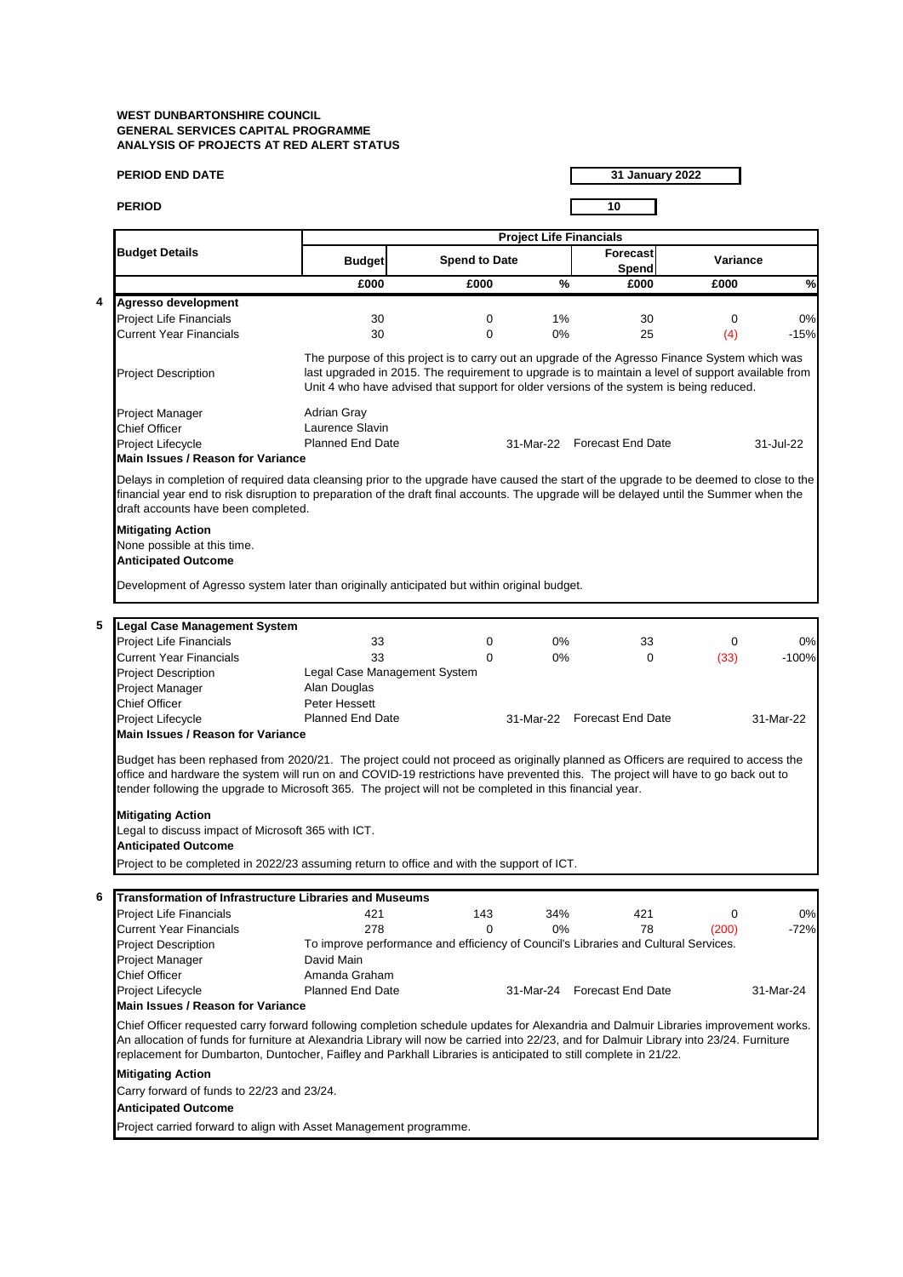|   | <b>PERIOD END DATE</b>                                                                                                                                                                                                                                                                                                                                                                                                                                                                             |                                                                                                                                                                                                                                                                                                 |                      |                                |    | 31 January 2022             |             |           |
|---|----------------------------------------------------------------------------------------------------------------------------------------------------------------------------------------------------------------------------------------------------------------------------------------------------------------------------------------------------------------------------------------------------------------------------------------------------------------------------------------------------|-------------------------------------------------------------------------------------------------------------------------------------------------------------------------------------------------------------------------------------------------------------------------------------------------|----------------------|--------------------------------|----|-----------------------------|-------------|-----------|
|   | <b>PERIOD</b>                                                                                                                                                                                                                                                                                                                                                                                                                                                                                      |                                                                                                                                                                                                                                                                                                 |                      |                                |    | 10                          |             |           |
|   |                                                                                                                                                                                                                                                                                                                                                                                                                                                                                                    |                                                                                                                                                                                                                                                                                                 |                      | <b>Project Life Financials</b> |    |                             |             |           |
|   | <b>Budget Details</b>                                                                                                                                                                                                                                                                                                                                                                                                                                                                              | <b>Budget</b>                                                                                                                                                                                                                                                                                   | <b>Spend to Date</b> |                                |    | <b>Forecast</b><br>Spend    | Variance    |           |
|   |                                                                                                                                                                                                                                                                                                                                                                                                                                                                                                    | £000                                                                                                                                                                                                                                                                                            | £000                 |                                | %  | £000                        | £000        | $\%$      |
| 4 | Agresso development                                                                                                                                                                                                                                                                                                                                                                                                                                                                                |                                                                                                                                                                                                                                                                                                 |                      |                                |    |                             |             |           |
|   | <b>Project Life Financials</b>                                                                                                                                                                                                                                                                                                                                                                                                                                                                     | 30                                                                                                                                                                                                                                                                                              | 0                    |                                | 1% | 30                          | 0           | 0%        |
|   | <b>Current Year Financials</b>                                                                                                                                                                                                                                                                                                                                                                                                                                                                     | 30                                                                                                                                                                                                                                                                                              | $\mathbf 0$          |                                | 0% | 25                          | (4)         | $-15%$    |
|   | <b>Project Description</b>                                                                                                                                                                                                                                                                                                                                                                                                                                                                         | The purpose of this project is to carry out an upgrade of the Agresso Finance System which was<br>last upgraded in 2015. The requirement to upgrade is to maintain a level of support available from<br>Unit 4 who have advised that support for older versions of the system is being reduced. |                      |                                |    |                             |             |           |
|   | Project Manager                                                                                                                                                                                                                                                                                                                                                                                                                                                                                    | Adrian Gray                                                                                                                                                                                                                                                                                     |                      |                                |    |                             |             |           |
|   | <b>Chief Officer</b>                                                                                                                                                                                                                                                                                                                                                                                                                                                                               | Laurence Slavin                                                                                                                                                                                                                                                                                 |                      |                                |    |                             |             |           |
|   | Project Lifecycle                                                                                                                                                                                                                                                                                                                                                                                                                                                                                  | <b>Planned End Date</b>                                                                                                                                                                                                                                                                         |                      |                                |    | 31-Mar-22 Forecast End Date |             | 31-Jul-22 |
|   | Main Issues / Reason for Variance                                                                                                                                                                                                                                                                                                                                                                                                                                                                  |                                                                                                                                                                                                                                                                                                 |                      |                                |    |                             |             |           |
|   | <b>Mitigating Action</b><br>None possible at this time.<br><b>Anticipated Outcome</b><br>Development of Agresso system later than originally anticipated but within original budget.                                                                                                                                                                                                                                                                                                               |                                                                                                                                                                                                                                                                                                 |                      |                                |    |                             |             |           |
|   |                                                                                                                                                                                                                                                                                                                                                                                                                                                                                                    |                                                                                                                                                                                                                                                                                                 |                      |                                |    |                             |             |           |
| 5 | <b>Legal Case Management System</b>                                                                                                                                                                                                                                                                                                                                                                                                                                                                |                                                                                                                                                                                                                                                                                                 |                      |                                |    |                             |             |           |
|   | <b>Project Life Financials</b>                                                                                                                                                                                                                                                                                                                                                                                                                                                                     | 33                                                                                                                                                                                                                                                                                              | 0                    |                                | 0% | 33                          | $\mathbf 0$ | 0%        |
|   | <b>Current Year Financials</b>                                                                                                                                                                                                                                                                                                                                                                                                                                                                     | 33                                                                                                                                                                                                                                                                                              | $\Omega$             |                                | 0% | $\Omega$                    | (33)        | $-100%$   |
|   | <b>Project Description</b>                                                                                                                                                                                                                                                                                                                                                                                                                                                                         | Legal Case Management System                                                                                                                                                                                                                                                                    |                      |                                |    |                             |             |           |
|   | Project Manager                                                                                                                                                                                                                                                                                                                                                                                                                                                                                    | Alan Douglas                                                                                                                                                                                                                                                                                    |                      |                                |    |                             |             |           |
|   | <b>Chief Officer</b>                                                                                                                                                                                                                                                                                                                                                                                                                                                                               | Peter Hessett                                                                                                                                                                                                                                                                                   |                      |                                |    |                             |             |           |
|   | Project Lifecycle<br><b>Main Issues / Reason for Variance</b>                                                                                                                                                                                                                                                                                                                                                                                                                                      | <b>Planned End Date</b>                                                                                                                                                                                                                                                                         |                      |                                |    | 31-Mar-22 Forecast End Date |             | 31-Mar-22 |
|   | Budget has been rephased from 2020/21. The project could not proceed as originally planned as Officers are required to access the<br>office and hardware the system will run on and COVID-19 restrictions have prevented this. The project will have to go back out to<br>tender following the upgrade to Microsoft 365. The project will not be completed in this financial year.<br><b>Mitigating Action</b><br>Legal to discuss impact of Microsoft 365 with ICT.<br><b>Anticipated Outcome</b> |                                                                                                                                                                                                                                                                                                 |                      |                                |    |                             |             |           |
|   | Project to be completed in 2022/23 assuming return to office and with the support of ICT.                                                                                                                                                                                                                                                                                                                                                                                                          |                                                                                                                                                                                                                                                                                                 |                      |                                |    |                             |             |           |
| 6 | Transformation of Infrastructure Libraries and Museums                                                                                                                                                                                                                                                                                                                                                                                                                                             |                                                                                                                                                                                                                                                                                                 |                      |                                |    |                             |             |           |
|   | <b>Project Life Financials</b>                                                                                                                                                                                                                                                                                                                                                                                                                                                                     | 421                                                                                                                                                                                                                                                                                             | 143                  | 34%                            |    | 421                         | 0           | 0%        |
|   | <b>Current Year Financials</b>                                                                                                                                                                                                                                                                                                                                                                                                                                                                     | 278                                                                                                                                                                                                                                                                                             | $\Omega$             |                                | 0% | 78                          | (200)       | $-72%$    |
|   | <b>Project Description</b>                                                                                                                                                                                                                                                                                                                                                                                                                                                                         | To improve performance and efficiency of Council's Libraries and Cultural Services.                                                                                                                                                                                                             |                      |                                |    |                             |             |           |
|   | Project Manager                                                                                                                                                                                                                                                                                                                                                                                                                                                                                    | David Main                                                                                                                                                                                                                                                                                      |                      |                                |    |                             |             |           |
|   | <b>Chief Officer</b>                                                                                                                                                                                                                                                                                                                                                                                                                                                                               | Amanda Graham                                                                                                                                                                                                                                                                                   |                      |                                |    |                             |             |           |
|   | Project Lifecycle                                                                                                                                                                                                                                                                                                                                                                                                                                                                                  | <b>Planned End Date</b>                                                                                                                                                                                                                                                                         |                      |                                |    | 31-Mar-24 Forecast End Date |             | 31-Mar-24 |
|   | <b>Main Issues / Reason for Variance</b>                                                                                                                                                                                                                                                                                                                                                                                                                                                           |                                                                                                                                                                                                                                                                                                 |                      |                                |    |                             |             |           |
|   | Chief Officer requested carry forward following completion schedule updates for Alexandria and Dalmuir Libraries improvement works.<br>An allocation of funds for furniture at Alexandria Library will now be carried into 22/23, and for Dalmuir Library into 23/24. Furniture<br>replacement for Dumbarton, Duntocher, Faifley and Parkhall Libraries is anticipated to still complete in 21/22.                                                                                                 |                                                                                                                                                                                                                                                                                                 |                      |                                |    |                             |             |           |
|   | <b>Mitigating Action</b>                                                                                                                                                                                                                                                                                                                                                                                                                                                                           |                                                                                                                                                                                                                                                                                                 |                      |                                |    |                             |             |           |
|   | Carry forward of funds to 22/23 and 23/24.                                                                                                                                                                                                                                                                                                                                                                                                                                                         |                                                                                                                                                                                                                                                                                                 |                      |                                |    |                             |             |           |
|   | <b>Anticipated Outcome</b>                                                                                                                                                                                                                                                                                                                                                                                                                                                                         |                                                                                                                                                                                                                                                                                                 |                      |                                |    |                             |             |           |
|   |                                                                                                                                                                                                                                                                                                                                                                                                                                                                                                    |                                                                                                                                                                                                                                                                                                 |                      |                                |    |                             |             |           |
|   | Project carried forward to align with Asset Management programme.                                                                                                                                                                                                                                                                                                                                                                                                                                  |                                                                                                                                                                                                                                                                                                 |                      |                                |    |                             |             |           |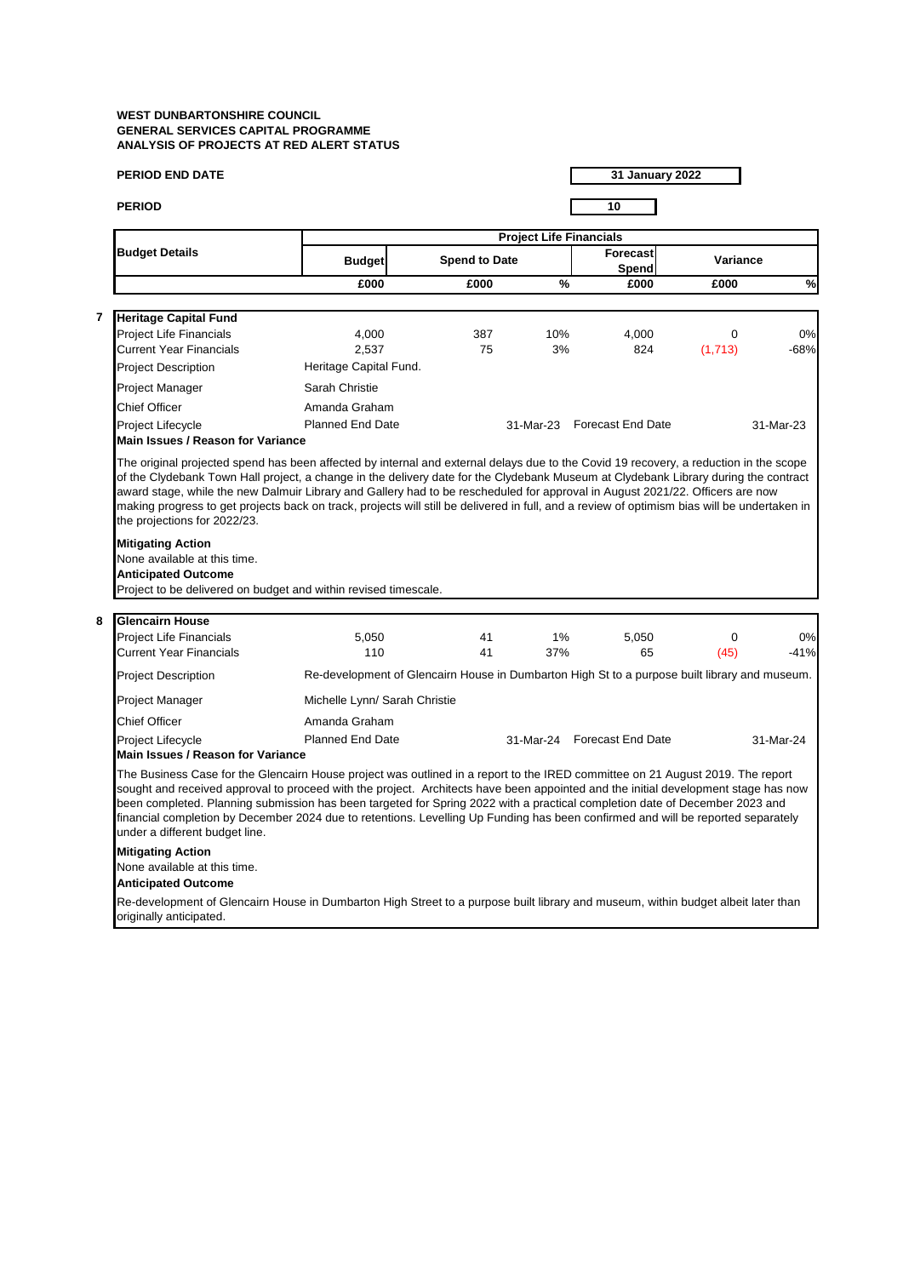| <b>PERIOD END DATE</b>                                                                                                                                                                                                                                                                                                                                                                                                                                                                                                                                                    |                                                                                               |                      |                                | <b>31 January 2022</b>      |          |           |
|---------------------------------------------------------------------------------------------------------------------------------------------------------------------------------------------------------------------------------------------------------------------------------------------------------------------------------------------------------------------------------------------------------------------------------------------------------------------------------------------------------------------------------------------------------------------------|-----------------------------------------------------------------------------------------------|----------------------|--------------------------------|-----------------------------|----------|-----------|
| <b>PERIOD</b>                                                                                                                                                                                                                                                                                                                                                                                                                                                                                                                                                             |                                                                                               |                      |                                | 10                          |          |           |
|                                                                                                                                                                                                                                                                                                                                                                                                                                                                                                                                                                           |                                                                                               |                      | <b>Project Life Financials</b> |                             |          |           |
| <b>Budget Details</b>                                                                                                                                                                                                                                                                                                                                                                                                                                                                                                                                                     | <b>Budget</b>                                                                                 | <b>Spend to Date</b> |                                | <b>Forecast</b><br>Spend    | Variance |           |
|                                                                                                                                                                                                                                                                                                                                                                                                                                                                                                                                                                           | £000                                                                                          | £000                 | %                              | £000                        | £000     | %         |
| <b>Heritage Capital Fund</b>                                                                                                                                                                                                                                                                                                                                                                                                                                                                                                                                              |                                                                                               |                      |                                |                             |          |           |
| Project Life Financials                                                                                                                                                                                                                                                                                                                                                                                                                                                                                                                                                   | 4,000                                                                                         | 387                  | 10%                            | 4,000                       | 0        | 0%        |
| <b>Current Year Financials</b>                                                                                                                                                                                                                                                                                                                                                                                                                                                                                                                                            | 2,537                                                                                         | 75                   | 3%                             | 824                         | (1,713)  | $-68%$    |
| <b>Project Description</b>                                                                                                                                                                                                                                                                                                                                                                                                                                                                                                                                                | Heritage Capital Fund.                                                                        |                      |                                |                             |          |           |
| Project Manager                                                                                                                                                                                                                                                                                                                                                                                                                                                                                                                                                           | Sarah Christie                                                                                |                      |                                |                             |          |           |
| <b>Chief Officer</b>                                                                                                                                                                                                                                                                                                                                                                                                                                                                                                                                                      | Amanda Graham                                                                                 |                      |                                |                             |          |           |
| <b>Project Lifecycle</b><br>Main Issues / Reason for Variance                                                                                                                                                                                                                                                                                                                                                                                                                                                                                                             | <b>Planned End Date</b>                                                                       |                      |                                | 31-Mar-23 Forecast End Date |          | 31-Mar-23 |
| the projections for 2022/23.<br><b>Mitigating Action</b><br>None available at this time.<br><b>Anticipated Outcome</b>                                                                                                                                                                                                                                                                                                                                                                                                                                                    |                                                                                               |                      |                                |                             |          |           |
| Project to be delivered on budget and within revised timescale.                                                                                                                                                                                                                                                                                                                                                                                                                                                                                                           |                                                                                               |                      |                                |                             |          |           |
| <b>Glencairn House</b>                                                                                                                                                                                                                                                                                                                                                                                                                                                                                                                                                    |                                                                                               |                      |                                |                             |          |           |
| <b>Project Life Financials</b>                                                                                                                                                                                                                                                                                                                                                                                                                                                                                                                                            | 5,050                                                                                         | 41                   | 1%                             | 5,050                       | 0        | 0%        |
| <b>Current Year Financials</b>                                                                                                                                                                                                                                                                                                                                                                                                                                                                                                                                            | 110                                                                                           | 41                   | 37%                            | 65                          | (45)     | $-41%$    |
| <b>Project Description</b>                                                                                                                                                                                                                                                                                                                                                                                                                                                                                                                                                | Re-development of Glencairn House in Dumbarton High St to a purpose built library and museum. |                      |                                |                             |          |           |
| Project Manager                                                                                                                                                                                                                                                                                                                                                                                                                                                                                                                                                           | Michelle Lynn/ Sarah Christie                                                                 |                      |                                |                             |          |           |
| Chief Officer                                                                                                                                                                                                                                                                                                                                                                                                                                                                                                                                                             | Amanda Graham                                                                                 |                      |                                |                             |          |           |
| Project Lifecycle                                                                                                                                                                                                                                                                                                                                                                                                                                                                                                                                                         | Planned End Date                                                                              |                      | 31-Mar-24                      | <b>Forecast End Date</b>    |          | 31-Mar-24 |
| Main Issues / Reason for Variance                                                                                                                                                                                                                                                                                                                                                                                                                                                                                                                                         |                                                                                               |                      |                                |                             |          |           |
| The Business Case for the Glencairn House project was outlined in a report to the IRED committee on 21 August 2019. The report<br>sought and received approval to proceed with the project. Architects have been appointed and the initial development stage has now<br>been completed. Planning submission has been targeted for Spring 2022 with a practical completion date of December 2023 and<br>financial completion by December 2024 due to retentions. Levelling Up Funding has been confirmed and will be reported separately<br>under a different budget line. |                                                                                               |                      |                                |                             |          |           |
|                                                                                                                                                                                                                                                                                                                                                                                                                                                                                                                                                                           |                                                                                               |                      |                                |                             |          |           |
| <b>Mitigating Action</b><br>None available at this time.<br><b>Anticipated Outcome</b>                                                                                                                                                                                                                                                                                                                                                                                                                                                                                    |                                                                                               |                      |                                |                             |          |           |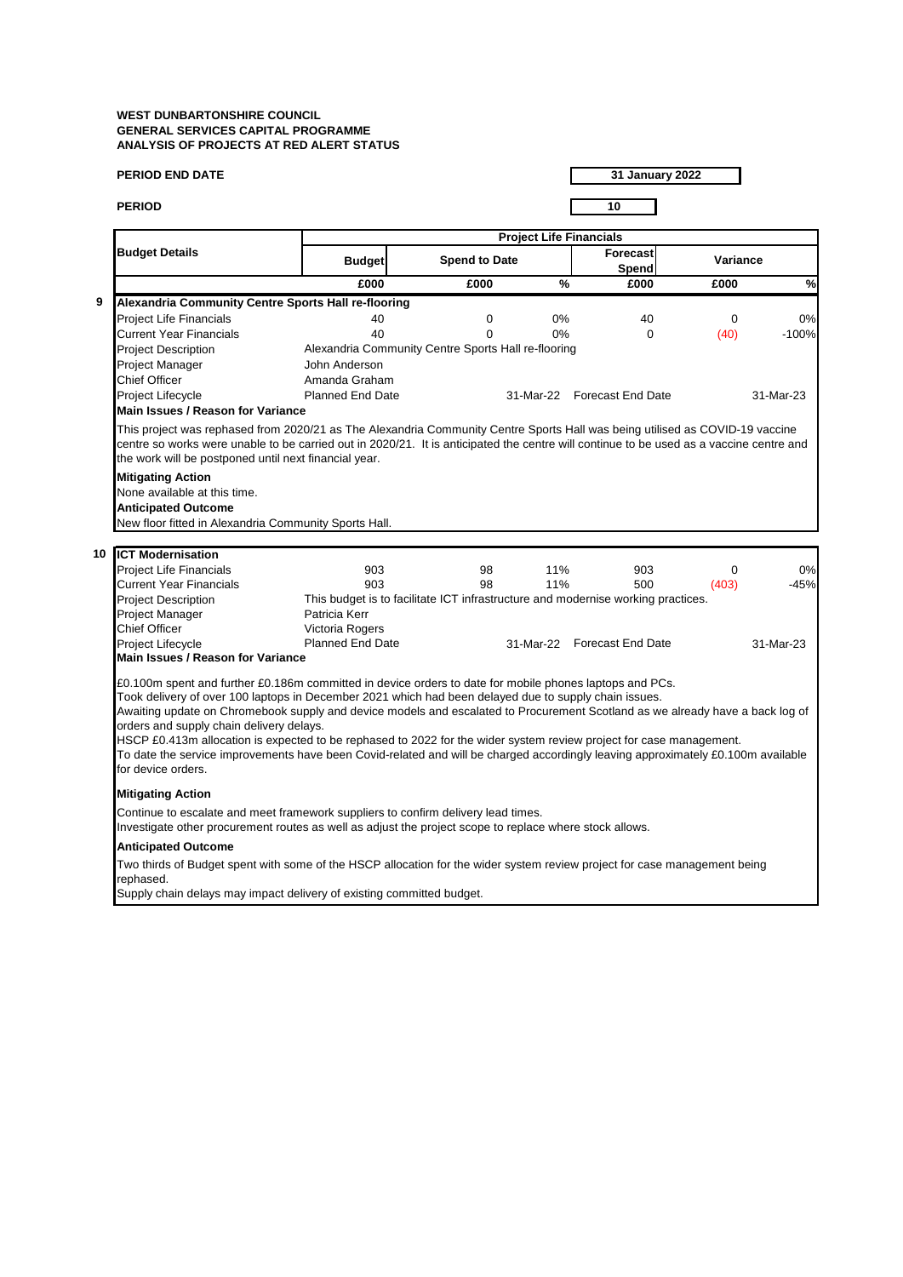|   | <b>PERIOD END DATE</b>                                                                                                                                                                                                                                                                                                                                                                                                                                                                                                                                                                                                                                                         |                                                                                                   |                      |     | 31 January 2022             |             |               |  |  |
|---|--------------------------------------------------------------------------------------------------------------------------------------------------------------------------------------------------------------------------------------------------------------------------------------------------------------------------------------------------------------------------------------------------------------------------------------------------------------------------------------------------------------------------------------------------------------------------------------------------------------------------------------------------------------------------------|---------------------------------------------------------------------------------------------------|----------------------|-----|-----------------------------|-------------|---------------|--|--|
|   | <b>PERIOD</b>                                                                                                                                                                                                                                                                                                                                                                                                                                                                                                                                                                                                                                                                  |                                                                                                   |                      |     | 10                          |             |               |  |  |
|   |                                                                                                                                                                                                                                                                                                                                                                                                                                                                                                                                                                                                                                                                                | <b>Project Life Financials</b>                                                                    |                      |     |                             |             |               |  |  |
|   | <b>Budget Details</b>                                                                                                                                                                                                                                                                                                                                                                                                                                                                                                                                                                                                                                                          | <b>Budget</b>                                                                                     | <b>Spend to Date</b> |     | <b>Forecast</b><br>Spend    | Variance    |               |  |  |
|   |                                                                                                                                                                                                                                                                                                                                                                                                                                                                                                                                                                                                                                                                                | £000                                                                                              | £000                 | %   | £000                        | £000        | $\frac{9}{6}$ |  |  |
| 9 | Alexandria Community Centre Sports Hall re-flooring                                                                                                                                                                                                                                                                                                                                                                                                                                                                                                                                                                                                                            |                                                                                                   |                      |     |                             |             |               |  |  |
|   | <b>Project Life Financials</b>                                                                                                                                                                                                                                                                                                                                                                                                                                                                                                                                                                                                                                                 | 40                                                                                                | $\mathbf 0$          | 0%  | 40                          | $\mathbf 0$ | 0%            |  |  |
|   | <b>Current Year Financials</b>                                                                                                                                                                                                                                                                                                                                                                                                                                                                                                                                                                                                                                                 | 40                                                                                                | $\Omega$             | 0%  | $\Omega$                    | (40)        | $-100%$       |  |  |
|   | <b>Project Description</b>                                                                                                                                                                                                                                                                                                                                                                                                                                                                                                                                                                                                                                                     | Alexandria Community Centre Sports Hall re-flooring                                               |                      |     |                             |             |               |  |  |
|   | <b>Project Manager</b>                                                                                                                                                                                                                                                                                                                                                                                                                                                                                                                                                                                                                                                         | John Anderson                                                                                     |                      |     |                             |             |               |  |  |
|   | <b>Chief Officer</b>                                                                                                                                                                                                                                                                                                                                                                                                                                                                                                                                                                                                                                                           | Amanda Graham                                                                                     |                      |     |                             |             |               |  |  |
|   | Project Lifecycle                                                                                                                                                                                                                                                                                                                                                                                                                                                                                                                                                                                                                                                              | <b>Planned End Date</b>                                                                           |                      |     | 31-Mar-22 Forecast End Date |             | 31-Mar-23     |  |  |
|   | <b>Main Issues / Reason for Variance</b>                                                                                                                                                                                                                                                                                                                                                                                                                                                                                                                                                                                                                                       |                                                                                                   |                      |     |                             |             |               |  |  |
|   | This project was rephased from 2020/21 as The Alexandria Community Centre Sports Hall was being utilised as COVID-19 vaccine<br>centre so works were unable to be carried out in 2020/21. It is anticipated the centre will continue to be used as a vaccine centre and<br>the work will be postponed until next financial year.                                                                                                                                                                                                                                                                                                                                               |                                                                                                   |                      |     |                             |             |               |  |  |
|   | <b>Mitigating Action</b>                                                                                                                                                                                                                                                                                                                                                                                                                                                                                                                                                                                                                                                       |                                                                                                   |                      |     |                             |             |               |  |  |
|   | None available at this time.                                                                                                                                                                                                                                                                                                                                                                                                                                                                                                                                                                                                                                                   |                                                                                                   |                      |     |                             |             |               |  |  |
|   | <b>Anticipated Outcome</b>                                                                                                                                                                                                                                                                                                                                                                                                                                                                                                                                                                                                                                                     |                                                                                                   |                      |     |                             |             |               |  |  |
|   | New floor fitted in Alexandria Community Sports Hall.                                                                                                                                                                                                                                                                                                                                                                                                                                                                                                                                                                                                                          |                                                                                                   |                      |     |                             |             |               |  |  |
|   |                                                                                                                                                                                                                                                                                                                                                                                                                                                                                                                                                                                                                                                                                |                                                                                                   |                      |     |                             |             |               |  |  |
|   | 10 <b>ICT Modernisation</b>                                                                                                                                                                                                                                                                                                                                                                                                                                                                                                                                                                                                                                                    |                                                                                                   |                      |     |                             |             |               |  |  |
|   | <b>Project Life Financials</b>                                                                                                                                                                                                                                                                                                                                                                                                                                                                                                                                                                                                                                                 | 903                                                                                               | 98                   | 11% | 903                         | 0           | 0%            |  |  |
|   | <b>Current Year Financials</b>                                                                                                                                                                                                                                                                                                                                                                                                                                                                                                                                                                                                                                                 | 903                                                                                               | 98                   | 11% | 500                         | (403)       | $-45%$        |  |  |
|   | <b>Project Description</b>                                                                                                                                                                                                                                                                                                                                                                                                                                                                                                                                                                                                                                                     | This budget is to facilitate ICT infrastructure and modernise working practices.<br>Patricia Kerr |                      |     |                             |             |               |  |  |
|   | <b>Project Manager</b><br><b>Chief Officer</b>                                                                                                                                                                                                                                                                                                                                                                                                                                                                                                                                                                                                                                 | Victoria Rogers                                                                                   |                      |     |                             |             |               |  |  |
|   | Project Lifecycle                                                                                                                                                                                                                                                                                                                                                                                                                                                                                                                                                                                                                                                              | <b>Planned End Date</b>                                                                           |                      |     | 31-Mar-22 Forecast End Date |             | 31-Mar-23     |  |  |
|   | Main Issues / Reason for Variance                                                                                                                                                                                                                                                                                                                                                                                                                                                                                                                                                                                                                                              |                                                                                                   |                      |     |                             |             |               |  |  |
|   | £0.100m spent and further £0.186m committed in device orders to date for mobile phones laptops and PCs.<br>Took delivery of over 100 laptops in December 2021 which had been delayed due to supply chain issues.<br>Awaiting update on Chromebook supply and device models and escalated to Procurement Scotland as we already have a back log of<br>orders and supply chain delivery delays.<br>HSCP £0.413m allocation is expected to be rephased to 2022 for the wider system review project for case management.<br>To date the service improvements have been Covid-related and will be charged accordingly leaving approximately £0.100m available<br>for device orders. |                                                                                                   |                      |     |                             |             |               |  |  |
|   | <b>Mitigating Action</b>                                                                                                                                                                                                                                                                                                                                                                                                                                                                                                                                                                                                                                                       |                                                                                                   |                      |     |                             |             |               |  |  |
|   | Continue to escalate and meet framework suppliers to confirm delivery lead times.<br>Investigate other procurement routes as well as adjust the project scope to replace where stock allows.                                                                                                                                                                                                                                                                                                                                                                                                                                                                                   |                                                                                                   |                      |     |                             |             |               |  |  |
|   | <b>Anticipated Outcome</b>                                                                                                                                                                                                                                                                                                                                                                                                                                                                                                                                                                                                                                                     |                                                                                                   |                      |     |                             |             |               |  |  |
|   | Two thirds of Budget spent with some of the HSCP allocation for the wider system review project for case management being<br>rephased.                                                                                                                                                                                                                                                                                                                                                                                                                                                                                                                                         |                                                                                                   |                      |     |                             |             |               |  |  |

Supply chain delays may impact delivery of existing committed budget.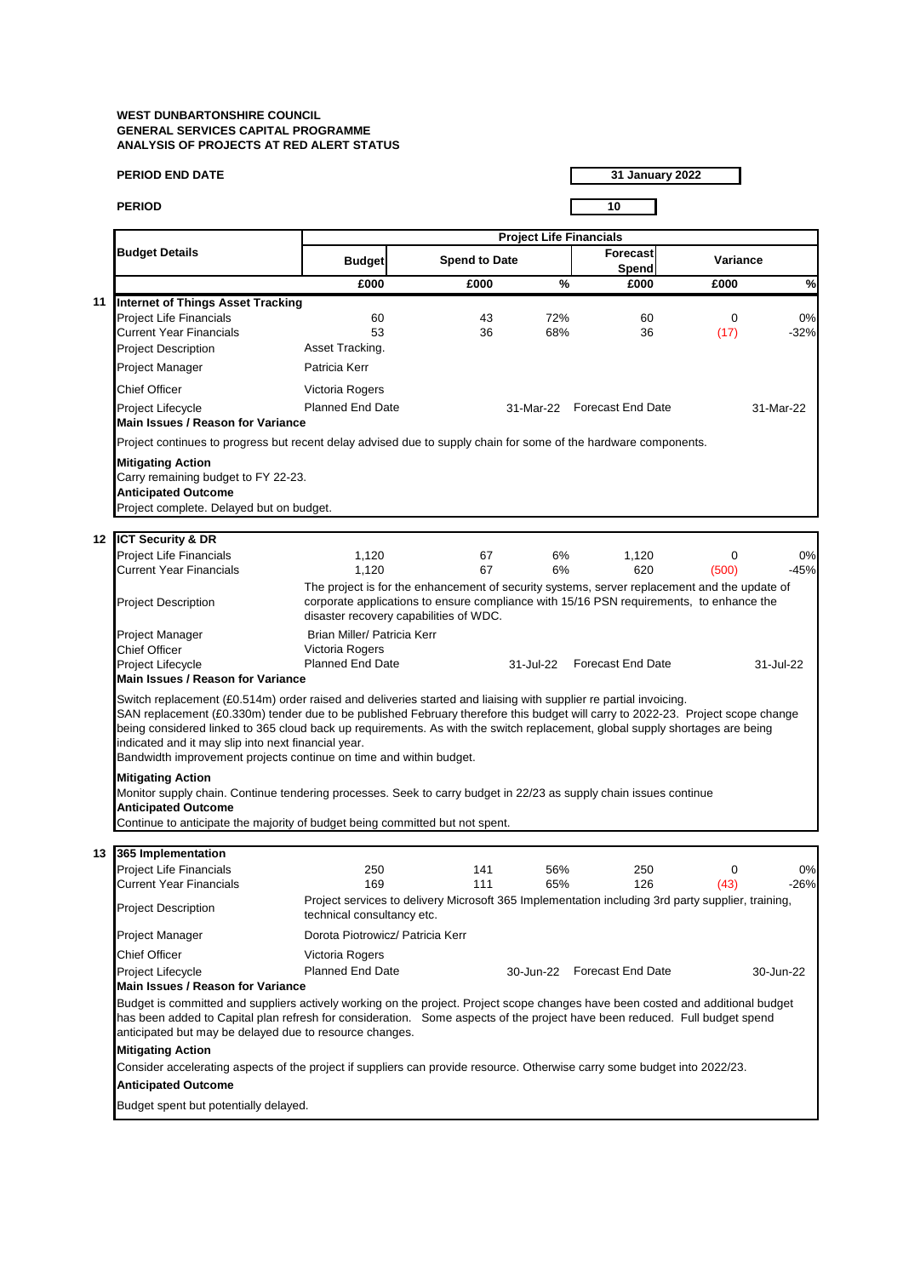|    | <b>PERIOD END DATE</b>                                                                                                                                                                                                                                                                                                                                                                                                                                                                                                                                                                                                                                                                                                                                                           |                                                                                                                                                                                                                                   |                      |                                | <b>31 January 2022</b>      |             |               |
|----|----------------------------------------------------------------------------------------------------------------------------------------------------------------------------------------------------------------------------------------------------------------------------------------------------------------------------------------------------------------------------------------------------------------------------------------------------------------------------------------------------------------------------------------------------------------------------------------------------------------------------------------------------------------------------------------------------------------------------------------------------------------------------------|-----------------------------------------------------------------------------------------------------------------------------------------------------------------------------------------------------------------------------------|----------------------|--------------------------------|-----------------------------|-------------|---------------|
|    | <b>PERIOD</b>                                                                                                                                                                                                                                                                                                                                                                                                                                                                                                                                                                                                                                                                                                                                                                    |                                                                                                                                                                                                                                   |                      |                                | 10                          |             |               |
|    |                                                                                                                                                                                                                                                                                                                                                                                                                                                                                                                                                                                                                                                                                                                                                                                  |                                                                                                                                                                                                                                   |                      | <b>Project Life Financials</b> |                             |             |               |
|    | <b>Budget Details</b>                                                                                                                                                                                                                                                                                                                                                                                                                                                                                                                                                                                                                                                                                                                                                            | <b>Budget</b>                                                                                                                                                                                                                     | <b>Spend to Date</b> |                                | <b>Forecast</b><br>Spend    | Variance    |               |
|    |                                                                                                                                                                                                                                                                                                                                                                                                                                                                                                                                                                                                                                                                                                                                                                                  | £000                                                                                                                                                                                                                              | £000                 | $\%$                           | £000                        | £000        | $\frac{9}{6}$ |
| 11 | <b>Internet of Things Asset Tracking</b>                                                                                                                                                                                                                                                                                                                                                                                                                                                                                                                                                                                                                                                                                                                                         |                                                                                                                                                                                                                                   |                      |                                |                             |             |               |
|    | Project Life Financials                                                                                                                                                                                                                                                                                                                                                                                                                                                                                                                                                                                                                                                                                                                                                          | 60                                                                                                                                                                                                                                | 43                   | 72%                            | 60                          | 0           | 0%            |
|    | Current Year Financials                                                                                                                                                                                                                                                                                                                                                                                                                                                                                                                                                                                                                                                                                                                                                          | 53                                                                                                                                                                                                                                | 36                   | 68%                            | 36                          | (17)        | $-32%$        |
|    | <b>Project Description</b>                                                                                                                                                                                                                                                                                                                                                                                                                                                                                                                                                                                                                                                                                                                                                       | Asset Tracking.                                                                                                                                                                                                                   |                      |                                |                             |             |               |
|    | Project Manager                                                                                                                                                                                                                                                                                                                                                                                                                                                                                                                                                                                                                                                                                                                                                                  | Patricia Kerr                                                                                                                                                                                                                     |                      |                                |                             |             |               |
|    | Chief Officer                                                                                                                                                                                                                                                                                                                                                                                                                                                                                                                                                                                                                                                                                                                                                                    | Victoria Rogers                                                                                                                                                                                                                   |                      |                                |                             |             |               |
|    | Project Lifecycle<br>Main Issues / Reason for Variance                                                                                                                                                                                                                                                                                                                                                                                                                                                                                                                                                                                                                                                                                                                           | <b>Planned End Date</b>                                                                                                                                                                                                           |                      |                                | 31-Mar-22 Forecast End Date |             | 31-Mar-22     |
|    | Project continues to progress but recent delay advised due to supply chain for some of the hardware components.                                                                                                                                                                                                                                                                                                                                                                                                                                                                                                                                                                                                                                                                  |                                                                                                                                                                                                                                   |                      |                                |                             |             |               |
|    | Carry remaining budget to FY 22-23.<br><b>Anticipated Outcome</b><br>Project complete. Delayed but on budget.<br>12 ICT Security & DR                                                                                                                                                                                                                                                                                                                                                                                                                                                                                                                                                                                                                                            |                                                                                                                                                                                                                                   |                      |                                |                             |             |               |
|    | <b>Project Life Financials</b>                                                                                                                                                                                                                                                                                                                                                                                                                                                                                                                                                                                                                                                                                                                                                   | 1,120                                                                                                                                                                                                                             | 67                   | 6%                             | 1,120                       | $\mathbf 0$ | 0%            |
|    | <b>Current Year Financials</b>                                                                                                                                                                                                                                                                                                                                                                                                                                                                                                                                                                                                                                                                                                                                                   | 1,120                                                                                                                                                                                                                             | 67                   | 6%                             | 620                         | (500)       | $-45%$        |
|    | <b>Project Description</b>                                                                                                                                                                                                                                                                                                                                                                                                                                                                                                                                                                                                                                                                                                                                                       | The project is for the enhancement of security systems, server replacement and the update of<br>corporate applications to ensure compliance with 15/16 PSN requirements, to enhance the<br>disaster recovery capabilities of WDC. |                      |                                |                             |             |               |
|    | Project Manager                                                                                                                                                                                                                                                                                                                                                                                                                                                                                                                                                                                                                                                                                                                                                                  | Brian Miller/ Patricia Kerr                                                                                                                                                                                                       |                      |                                |                             |             |               |
|    | Chief Officer                                                                                                                                                                                                                                                                                                                                                                                                                                                                                                                                                                                                                                                                                                                                                                    | Victoria Rogers                                                                                                                                                                                                                   |                      |                                |                             |             |               |
|    | Project Lifecycle<br>Main Issues / Reason for Variance                                                                                                                                                                                                                                                                                                                                                                                                                                                                                                                                                                                                                                                                                                                           | <b>Planned End Date</b>                                                                                                                                                                                                           |                      | 31-Jul-22                      | <b>Forecast End Date</b>    |             | 31-Jul-22     |
|    | Switch replacement (£0.514m) order raised and deliveries started and liaising with supplier re partial invoicing.<br>SAN replacement (£0.330m) tender due to be published February therefore this budget will carry to 2022-23. Project scope change<br>being considered linked to 365 cloud back up requirements. As with the switch replacement, global supply shortages are being<br>indicated and it may slip into next financial year.<br>Bandwidth improvement projects continue on time and within budget.<br><b>Mitigating Action</b><br>Monitor supply chain. Continue tendering processes. Seek to carry budget in 22/23 as supply chain issues continue<br><b>Anticipated Outcome</b><br>Continue to anticipate the majority of budget being committed but not spent. |                                                                                                                                                                                                                                   |                      |                                |                             |             |               |
|    |                                                                                                                                                                                                                                                                                                                                                                                                                                                                                                                                                                                                                                                                                                                                                                                  |                                                                                                                                                                                                                                   |                      |                                |                             |             |               |
|    | 13 365 Implementation                                                                                                                                                                                                                                                                                                                                                                                                                                                                                                                                                                                                                                                                                                                                                            |                                                                                                                                                                                                                                   |                      |                                |                             |             |               |

| 13 | 365 Implementation                                                                                                                                                                                                                                                                                                       |                                                                                                                                 |     |           |                   |          |           |
|----|--------------------------------------------------------------------------------------------------------------------------------------------------------------------------------------------------------------------------------------------------------------------------------------------------------------------------|---------------------------------------------------------------------------------------------------------------------------------|-----|-----------|-------------------|----------|-----------|
|    | <b>Project Life Financials</b>                                                                                                                                                                                                                                                                                           | 250                                                                                                                             | 141 | 56%       | 250               | $\Omega$ | 0%        |
|    | <b>Current Year Financials</b>                                                                                                                                                                                                                                                                                           | 169                                                                                                                             | 111 | 65%       | 126               | (43)     | $-26%$    |
|    | <b>Project Description</b>                                                                                                                                                                                                                                                                                               | Project services to delivery Microsoft 365 Implementation including 3rd party supplier, training,<br>technical consultancy etc. |     |           |                   |          |           |
|    | <b>Project Manager</b>                                                                                                                                                                                                                                                                                                   | Dorota Piotrowicz/ Patricia Kerr                                                                                                |     |           |                   |          |           |
|    | Chief Officer                                                                                                                                                                                                                                                                                                            | Victoria Rogers                                                                                                                 |     |           |                   |          |           |
|    | <b>Project Lifecycle</b>                                                                                                                                                                                                                                                                                                 | Planned End Date                                                                                                                |     | 30-Jun-22 | Forecast End Date |          | 30-Jun-22 |
|    | Main Issues / Reason for Variance                                                                                                                                                                                                                                                                                        |                                                                                                                                 |     |           |                   |          |           |
|    | Budget is committed and suppliers actively working on the project. Project scope changes have been costed and additional budget<br>has been added to Capital plan refresh for consideration. Some aspects of the project have been reduced. Full budget spend<br>anticipated but may be delayed due to resource changes. |                                                                                                                                 |     |           |                   |          |           |
|    | <b>Mitigating Action</b>                                                                                                                                                                                                                                                                                                 |                                                                                                                                 |     |           |                   |          |           |
|    | Consider accelerating aspects of the project if suppliers can provide resource. Otherwise carry some budget into 2022/23.                                                                                                                                                                                                |                                                                                                                                 |     |           |                   |          |           |
|    | <b>Anticipated Outcome</b>                                                                                                                                                                                                                                                                                               |                                                                                                                                 |     |           |                   |          |           |
|    |                                                                                                                                                                                                                                                                                                                          |                                                                                                                                 |     |           |                   |          |           |

Budget spent but potentially delayed.